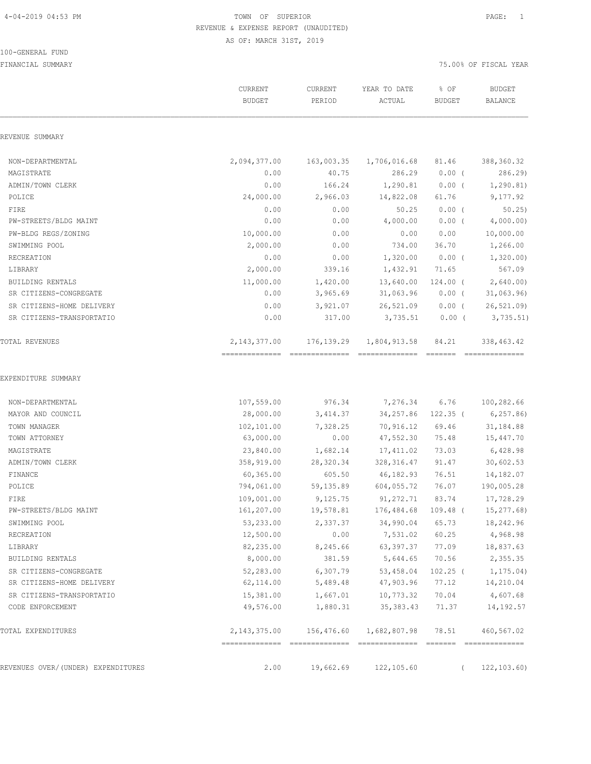#### 100-GENERAL FUND FINANCIAL SUMMARY 75.00% OF FISCAL YEAR

|                                    | CURRENT<br><b>BUDGET</b>                          | CURRENT<br>PERIOD | YEAR TO DATE<br>ACTUAL | % OF<br><b>BUDGET</b> | <b>BUDGET</b><br>BALANCE     |
|------------------------------------|---------------------------------------------------|-------------------|------------------------|-----------------------|------------------------------|
| REVENUE SUMMARY                    |                                                   |                   |                        |                       |                              |
| NON-DEPARTMENTAL                   | 2,094,377.00                                      | 163,003.35        | 1,706,016.68           | 81.46                 | 388,360.32                   |
| MAGISTRATE                         | 0.00                                              | 40.75             | 286.29                 | $0.00$ (              | 286.29)                      |
| ADMIN/TOWN CLERK                   | 0.00                                              | 166.24            | 1,290.81               | $0.00$ (              | 1, 290.81)                   |
| POLICE                             | 24,000.00                                         | 2,966.03          | 14,822.08              | 61.76                 | 9,177.92                     |
| FIRE                               | 0.00                                              | 0.00              | 50.25                  | $0.00$ (              | 50.25                        |
| PW-STREETS/BLDG MAINT              | 0.00                                              | 0.00              | 4,000.00               | $0.00$ (              | 4,000.00)                    |
| PW-BLDG REGS/ZONING                | 10,000.00                                         | 0.00              | 0.00                   | 0.00                  | 10,000.00                    |
| SWIMMING POOL                      | 2,000.00                                          | 0.00              | 734.00                 | 36.70                 | 1,266.00                     |
| RECREATION                         | 0.00                                              | 0.00              | 1,320.00               | $0.00$ (              | 1,320.00)                    |
| LIBRARY                            | 2,000.00                                          | 339.16            | 1,432.91               | 71.65                 | 567.09                       |
| BUILDING RENTALS                   | 11,000.00                                         | 1,420.00          | 13,640.00              | $124.00$ (            | 2,640.00                     |
| SR CITIZENS-CONGREGATE             | 0.00                                              | 3,965.69          | 31,063.96              | $0.00$ (              | 31,063.96                    |
| SR CITIZENS-HOME DELIVERY          | 0.00                                              | 3,921.07          | 26,521.09              | $0.00$ (              | 26, 521.09                   |
| SR CITIZENS-TRANSPORTATIO          | 0.00                                              | 317.00            | 3,735.51               | $0.00$ (              | 3,735.51)                    |
| <b>TOTAL REVENUES</b>              | 2, 143, 377.00<br>=============================== | 176, 139.29       | 1,804,913.58           | 84.21                 | 338,463.42<br>============== |
| EXPENDITURE SUMMARY                |                                                   |                   |                        |                       |                              |
| NON-DEPARTMENTAL                   | 107,559.00                                        | 976.34            | 7,276.34               | 6.76                  | 100,282.66                   |
| MAYOR AND COUNCIL                  | 28,000.00                                         | 3,414.37          | 34,257.86              | $122.35$ (            | 6, 257.86                    |
| TOWN MANAGER                       | 102,101.00                                        | 7,328.25          | 70,916.12              | 69.46                 | 31,184.88                    |
| TOWN ATTORNEY                      | 63,000.00                                         | 0.00              | 47,552.30              | 75.48                 | 15,447.70                    |
| MAGISTRATE                         | 23,840.00                                         | 1,682.14          | 17,411.02              | 73.03                 | 6,428.98                     |
| ADMIN/TOWN CLERK                   | 358,919.00                                        | 28,320.34         | 328, 316.47            | 91.47                 | 30,602.53                    |
| FINANCE                            | 60,365.00                                         | 605.50            | 46,182.93              | 76.51                 | 14,182.07                    |
| POLICE                             | 794,061.00                                        | 59,135.89         | 604,055.72             | 76.07                 | 190,005.28                   |
| FIRE                               | 109,001.00                                        | 9,125.75          | 91, 272.71             | 83.74                 | 17,728.29                    |
| PW-STREETS/BLDG MAINT              | 161,207.00                                        | 19,578.81         | 176,484.68 109.48 (    |                       | 15,277.68)                   |
| SWIMMING POOL                      | 53,233.00                                         | 2,337.37          | 34,990.04              | 65.73                 | 18,242.96                    |
| RECREATION                         | 12,500.00                                         | 0.00              | 7,531.02               | 60.25                 | 4,968.98                     |
| LIBRARY                            | 82,235.00                                         | 8,245.66          | 63,397.37              | 77.09                 | 18,837.63                    |
| BUILDING RENTALS                   | 8,000.00                                          | 381.59            | 5,644.65               | 70.56                 | 2,355.35                     |
| SR CITIZENS-CONGREGATE             | 52,283.00                                         | 6,307.79          | 53,458.04              | $102.25$ (            | 1,175.04)                    |
| SR CITIZENS-HOME DELIVERY          | 62,114.00                                         | 5,489.48          | 47,903.96              | 77.12                 | 14,210.04                    |
| SR CITIZENS-TRANSPORTATIO          | 15,381.00                                         | 1,667.01          | 10,773.32              | 70.04                 | 4,607.68                     |
| CODE ENFORCEMENT                   | 49,576.00                                         | 1,880.31          | 35, 383.43             | 71.37                 | 14,192.57                    |
| TOTAL EXPENDITURES                 | 2, 143, 375.00 156, 476.60                        |                   | 1,682,807.98           | 78.51                 | 460,567.02                   |
| REVENUES OVER/(UNDER) EXPENDITURES | 2.00                                              | 19,662.69         | 122,105.60             | $\left($              | 122,103.60)                  |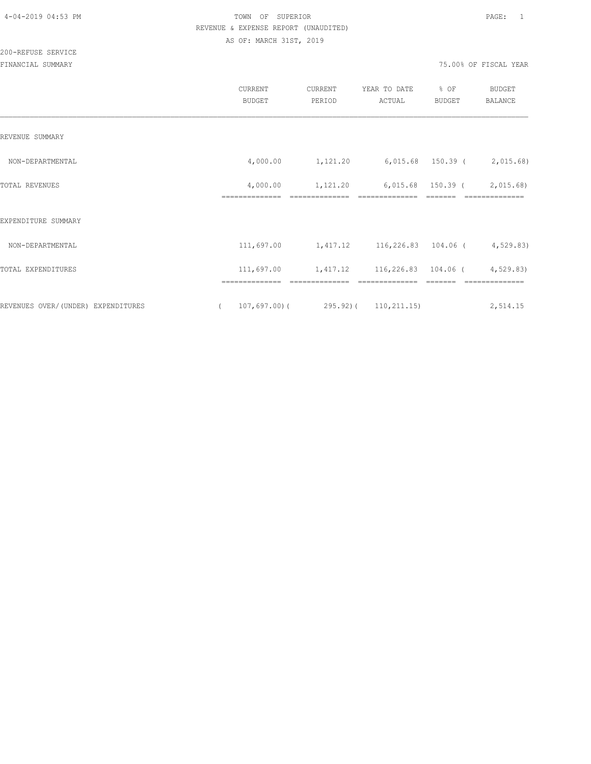200-REFUSE SERVICE

|                                    | CURRENT<br><b>BUDGET</b>   | CURRENT<br>PERIOD                                          | YEAR TO DATE<br>ACTUAL | % OF<br><b>BUDGET</b>        | <b>BUDGET</b><br>BALANCE     |
|------------------------------------|----------------------------|------------------------------------------------------------|------------------------|------------------------------|------------------------------|
| REVENUE SUMMARY                    |                            |                                                            |                        |                              |                              |
| NON-DEPARTMENTAL                   |                            | 4,000.00  1,121.20  6,015.68  150.39  (2,015.68)           |                        |                              |                              |
| TOTAL REVENUES                     | 4,000.00<br>============== | 1,121.20                                                   |                        | 6,015.68 150.39 (<br>------- | 2,015.68)<br>--------------- |
| EXPENDITURE SUMMARY                |                            |                                                            |                        |                              |                              |
| NON-DEPARTMENTAL                   |                            | 111,697.00 $1,417.12$ $116,226.83$ $104.06$ ( $4,529.83$ ) |                        |                              |                              |
| TOTAL EXPENDITURES                 | 111,697.00                 | 1,417.12 116,226.83 104.06 (4,529.83)                      |                        |                              |                              |
| REVENUES OVER/(UNDER) EXPENDITURES | ==============<br>$\left($ | ==============<br>$107,697.00$ (295.92) (110,211.15)       | ==============         |                              | ==============<br>2,514.15   |
|                                    |                            |                                                            |                        |                              |                              |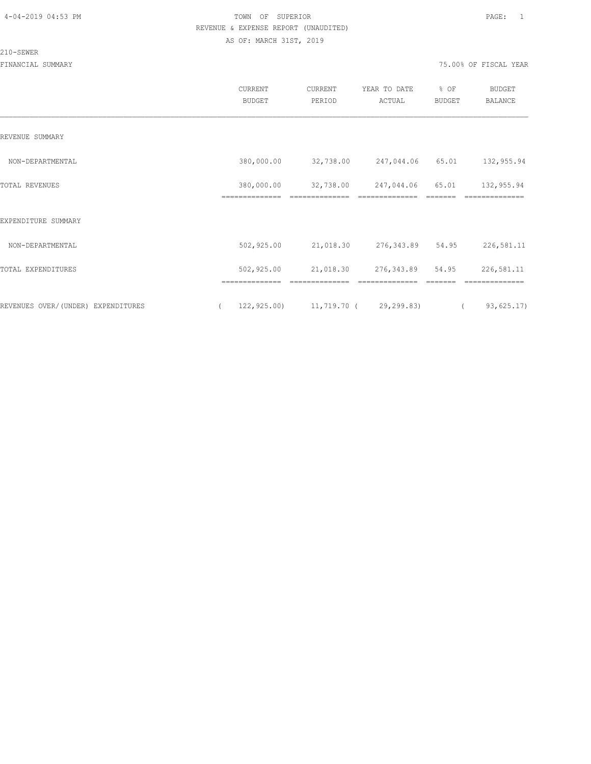#### 210-SEWER

|                                    | CURRENT<br><b>BUDGET</b> | CURRENT<br>PERIOD                          | YEAR TO DATE<br>ACTUAL | % OF<br><b>BUDGET</b> | <b>BUDGET</b><br><b>BALANCE</b> |
|------------------------------------|--------------------------|--------------------------------------------|------------------------|-----------------------|---------------------------------|
| REVENUE SUMMARY                    |                          |                                            |                        |                       |                                 |
| NON-DEPARTMENTAL                   | 380,000.00               | 32,738.00 247,044.06 65.01                 |                        |                       | 132,955.94                      |
| TOTAL REVENUES                     | 380,000.00               | 32,738.00                                  | 247,044.06             | 65.01                 | 132,955.94                      |
| EXPENDITURE SUMMARY                |                          |                                            |                        |                       |                                 |
| NON-DEPARTMENTAL                   | 502,925.00               | 21,018.30 276,343.89 54.95                 |                        |                       | 226,581.11                      |
| TOTAL EXPENDITURES                 | 502,925.00               | 21,018.30 276,343.89 54.95                 |                        |                       | 226,581.11                      |
| REVENUES OVER/(UNDER) EXPENDITURES | $\sqrt{2}$               | $122,925.00$ $11,719.70$ ( $29,299.83$ ) ( |                        |                       | 93,625.17)                      |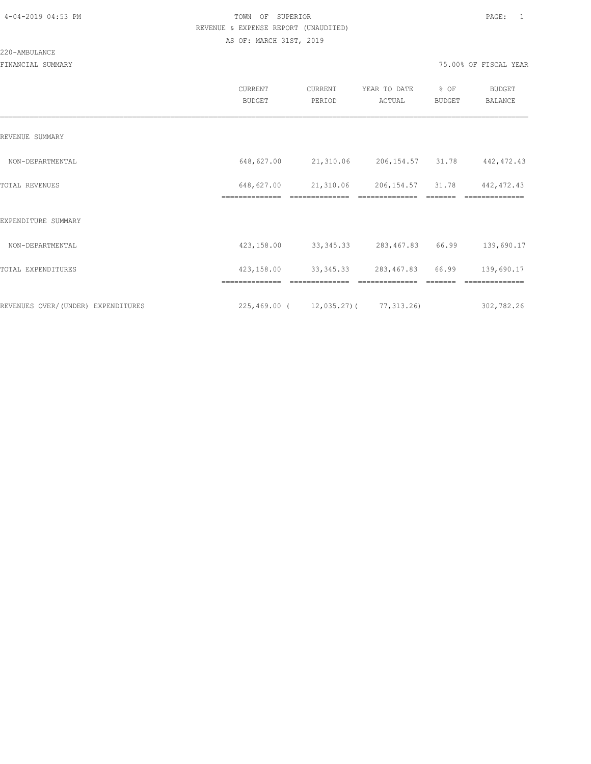#### 220-AMBULANCE

|                                    | <b>CURRENT</b><br><b>BUDGET</b> | CURRENT<br>PERIOD                         | YEAR TO DATE<br>ACTUAL       | % OF<br><b>BUDGET</b> | <b>BUDGET</b><br>BALANCE  |
|------------------------------------|---------------------------------|-------------------------------------------|------------------------------|-----------------------|---------------------------|
| REVENUE SUMMARY                    |                                 |                                           |                              |                       |                           |
| NON-DEPARTMENTAL                   | 648,627.00                      | 21,310.06                                 | 206, 154.57 31.78            |                       | 442, 472.43               |
| TOTAL REVENUES                     | 648,627.00<br>==============    | 21,310.06                                 | 206,154.57<br>============== | 31.78                 | 442, 472.43<br>========== |
| EXPENDITURE SUMMARY                |                                 |                                           |                              |                       |                           |
| NON-DEPARTMENTAL                   | 423,158.00                      | 33, 345. 33                               | 283,467.83                   | 66.99                 | 139,690.17                |
| TOTAL EXPENDITURES                 | 423,158.00                      | 33, 345. 33                               | 283,467.83                   | 66.99                 | 139,690.17                |
|                                    |                                 |                                           |                              |                       |                           |
| REVENUES OVER/(UNDER) EXPENDITURES |                                 | $225,469.00$ ( $12,035.27$ ) ( 77,313.26) |                              |                       | 302,782.26                |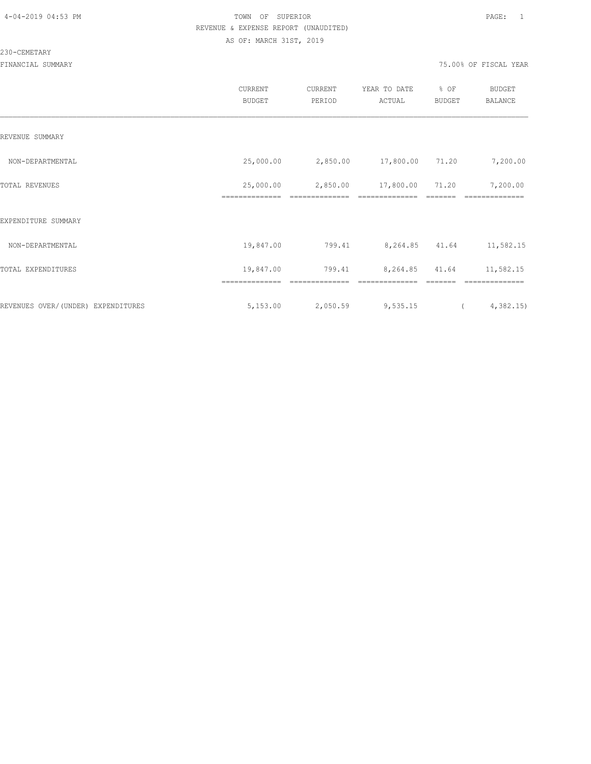#### 230-CEMETARY

|                                    | CURRENT<br><b>BUDGET</b> | CURRENT<br>PERIOD | YEAR TO DATE<br>ACTUAL | % OF<br><b>BUDGET</b> | <b>BUDGET</b><br><b>BALANCE</b> |  |
|------------------------------------|--------------------------|-------------------|------------------------|-----------------------|---------------------------------|--|
| REVENUE SUMMARY                    |                          |                   |                        |                       |                                 |  |
| NON-DEPARTMENTAL                   | 25,000.00                | 2,850.00          | 17,800.00 71.20        |                       | 7,200.00                        |  |
| TOTAL REVENUES                     | 25,000.00                | 2,850.00          | 17,800.00              | 71.20                 | 7,200.00                        |  |
| EXPENDITURE SUMMARY                |                          |                   |                        |                       |                                 |  |
| NON-DEPARTMENTAL                   | 19,847.00                | 799.41            | 8,264.85 41.64         |                       | 11,582.15                       |  |
| TOTAL EXPENDITURES                 | 19,847.00                | 799.41            | 8,264.85               | 41.64                 | 11,582.15                       |  |
|                                    |                          |                   |                        |                       |                                 |  |
| REVENUES OVER/(UNDER) EXPENDITURES | 5,153.00                 | 2,050.59          | 9,535.15               | $\sim$ 100 $\,$       | 4,382.15                        |  |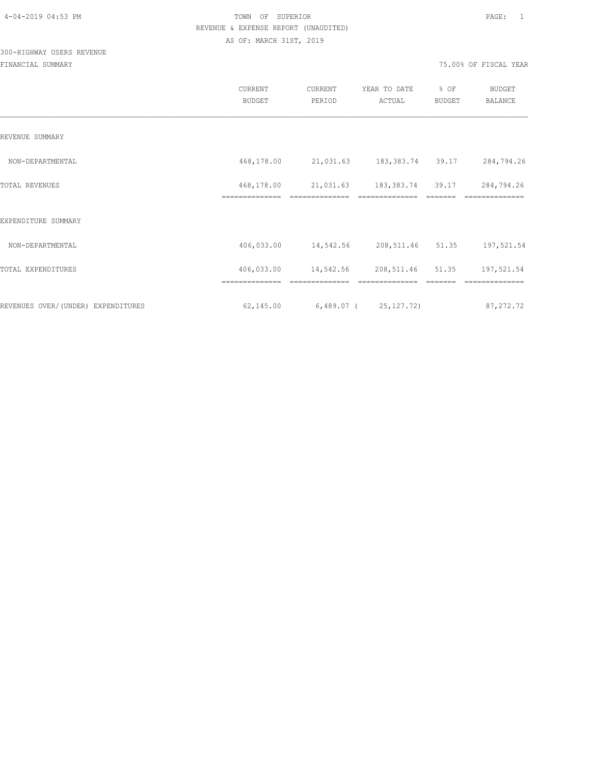## 300-HIGHWAY USERS REVENUE

|                                     | CURRENT<br><b>BUDGET</b>     | CURRENT<br>PERIOD       | YEAR TO DATE<br>ACTUAL     | % OF<br><b>BUDGET</b> | <b>BUDGET</b><br><b>BALANCE</b> |
|-------------------------------------|------------------------------|-------------------------|----------------------------|-----------------------|---------------------------------|
| REVENUE SUMMARY                     |                              |                         |                            |                       |                                 |
| NON-DEPARTMENTAL                    | 468,178.00                   |                         | 21,031.63 183,383.74 39.17 |                       | 284,794.26                      |
| TOTAL REVENUES                      | 468,178.00<br>============== | 21,031.63               | 183,383.74                 | 39.17                 | 284,794.26                      |
| EXPENDITURE SUMMARY                 |                              |                         |                            |                       |                                 |
| NON-DEPARTMENTAL                    | 406,033.00                   | 14,542.56               | 208, 511. 46 51. 35        |                       | 197,521.54                      |
| TOTAL EXPENDITURES                  | 406,033.00                   | 14,542.56               | 208, 511. 46 51. 35        |                       | 197,521.54                      |
|                                     |                              |                         |                            |                       |                                 |
| REVENUES OVER/ (UNDER) EXPENDITURES | 62,145.00                    | $6,489.07$ ( 25,127.72) |                            |                       | 87, 272.72                      |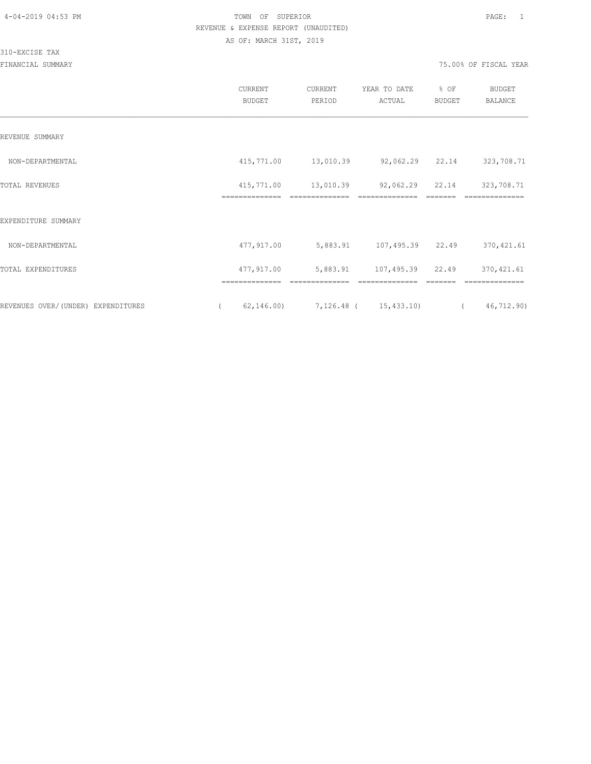310-EXCISE TAX

|                                    | CURRENT<br><b>BUDGET</b>     | CURRENT<br>PERIOD | YEAR TO DATE<br>ACTUAL            | % OF<br>BUDGET | <b>BUDGET</b><br>BALANCE     |
|------------------------------------|------------------------------|-------------------|-----------------------------------|----------------|------------------------------|
| REVENUE SUMMARY                    |                              |                   |                                   |                |                              |
| NON-DEPARTMENTAL                   | 415,771.00                   | 13,010.39         | 92,062.29 22.14                   |                | 323,708.71                   |
| TOTAL REVENUES                     | 415,771.00<br>============== | 13,010.39         | 92,062.29 22.14<br>============== |                | 323,708.71<br>-------------- |
| EXPENDITURE SUMMARY                |                              |                   |                                   |                |                              |
| NON-DEPARTMENTAL                   | 477,917.00                   | 5,883.91          | 107,495.39                        | 22.49          | 370, 421.61                  |
| TOTAL EXPENDITURES                 | 477,917.00<br>-------------- | 5,883.91          | 107,495.39                        | 22.49          | 370, 421.61                  |
| REVENUES OVER/(UNDER) EXPENDITURES | 62, 146.00                   |                   | 7, 126.48 ( 15, 433.10)           |                | 46,712.90)                   |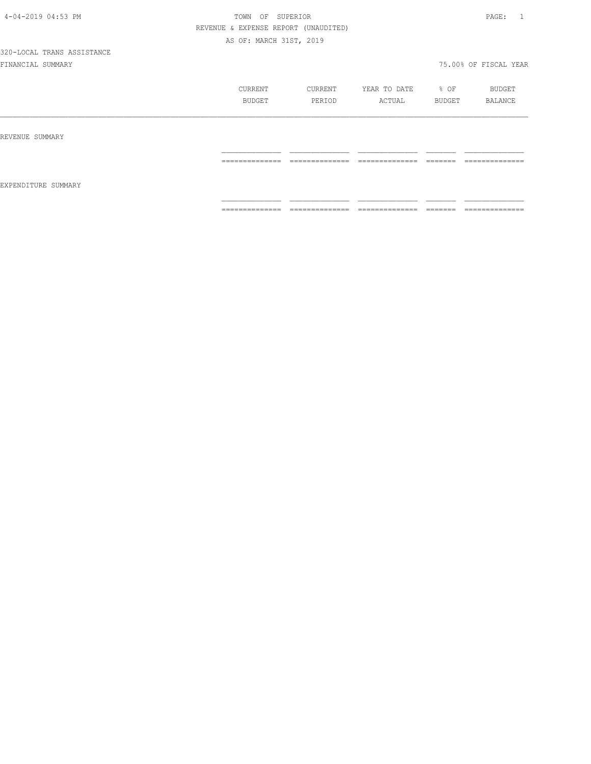|                     | CURRENT<br><b>BUDGET</b> | CURRENT<br>PERIOD | YEAR TO DATE<br>ACTUAL | % OF<br>BUDGET     | BUDGET<br>BALANCE |
|---------------------|--------------------------|-------------------|------------------------|--------------------|-------------------|
| REVENUE SUMMARY     |                          |                   |                        |                    |                   |
| EXPENDITURE SUMMARY | ==============           | ==============    | ==============         | =======            | ==============    |
|                     | ==============           | ==============    | ==============         | -------<br>------- | ==============    |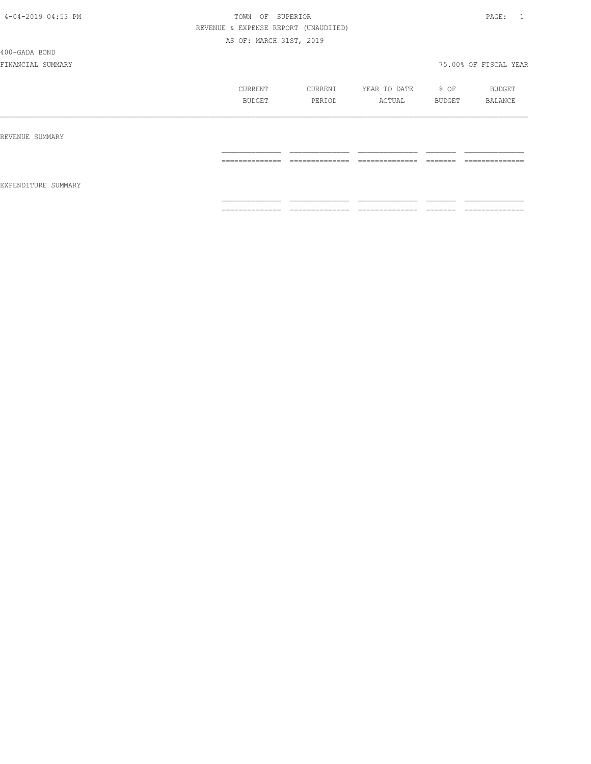#### 400-GADA BOND

|                     | CURRENT<br>BUDGET                                                                                                                                                                                                                                                                                                                                                                                                                                                                      | CURRENT<br>PERIOD               | YEAR TO DATE<br>ACTUAL                                                                                                                                                                                                                                                                                                                                                                                                                                                                       | % OF<br>BUDGET                                                                                                                                                                                                                                                                                                                                                                                                                                         | BUDGET<br>BALANCE              |
|---------------------|----------------------------------------------------------------------------------------------------------------------------------------------------------------------------------------------------------------------------------------------------------------------------------------------------------------------------------------------------------------------------------------------------------------------------------------------------------------------------------------|---------------------------------|----------------------------------------------------------------------------------------------------------------------------------------------------------------------------------------------------------------------------------------------------------------------------------------------------------------------------------------------------------------------------------------------------------------------------------------------------------------------------------------------|--------------------------------------------------------------------------------------------------------------------------------------------------------------------------------------------------------------------------------------------------------------------------------------------------------------------------------------------------------------------------------------------------------------------------------------------------------|--------------------------------|
| REVENUE SUMMARY     |                                                                                                                                                                                                                                                                                                                                                                                                                                                                                        |                                 |                                                                                                                                                                                                                                                                                                                                                                                                                                                                                              |                                                                                                                                                                                                                                                                                                                                                                                                                                                        |                                |
| EXPENDITURE SUMMARY | ==============                                                                                                                                                                                                                                                                                                                                                                                                                                                                         | ______________<br>------------- | --------------<br>---------------                                                                                                                                                                                                                                                                                                                                                                                                                                                            | --------<br>-------                                                                                                                                                                                                                                                                                                                                                                                                                                    | --------------<br>------------ |
|                     | $\begin{array}{cccccccccc} \multicolumn{2}{c}{} & \multicolumn{2}{c}{} & \multicolumn{2}{c}{} & \multicolumn{2}{c}{} & \multicolumn{2}{c}{} & \multicolumn{2}{c}{} & \multicolumn{2}{c}{} & \multicolumn{2}{c}{} & \multicolumn{2}{c}{} & \multicolumn{2}{c}{} & \multicolumn{2}{c}{} & \multicolumn{2}{c}{} & \multicolumn{2}{c}{} & \multicolumn{2}{c}{} & \multicolumn{2}{c}{} & \multicolumn{2}{c}{} & \multicolumn{2}{c}{} & \multicolumn{2}{c}{} & \multicolumn{2}{c}{} & \mult$ | 22222222222222                  | $\begin{array}{c} \multicolumn{2}{c} {\textbf{1}} & \multicolumn{2}{c} {\textbf{2}} & \multicolumn{2}{c} {\textbf{3}} & \multicolumn{2}{c} {\textbf{4}} \\ \multicolumn{2}{c} {\textbf{2}} & \multicolumn{2}{c} {\textbf{3}} & \multicolumn{2}{c} {\textbf{4}} & \multicolumn{2}{c} {\textbf{5}} & \multicolumn{2}{c} {\textbf{6}} \\ \multicolumn{2}{c} {\textbf{5}} & \multicolumn{2}{c} {\textbf{6}} & \multicolumn{2}{c} {\textbf{7}} & \multicolumn{2}{c} {\textbf{8}} & \multicolumn{$ | $\begin{tabular}{ll} \multicolumn{2}{c}{\textbf{2.5}} & \multicolumn{2}{c}{\textbf{2.5}} & \multicolumn{2}{c}{\textbf{2.5}} \\ \multicolumn{2}{c}{\textbf{2.5}} & \multicolumn{2}{c}{\textbf{2.5}} & \multicolumn{2}{c}{\textbf{2.5}} \\ \multicolumn{2}{c}{\textbf{3.5}} & \multicolumn{2}{c}{\textbf{4.5}} & \multicolumn{2}{c}{\textbf{5.5}} \\ \multicolumn{2}{c}{\textbf{5.5}} & \multicolumn{2}{c}{\textbf{6.5}} & \multicolumn{2}{c}{\textbf{7$ | --------------                 |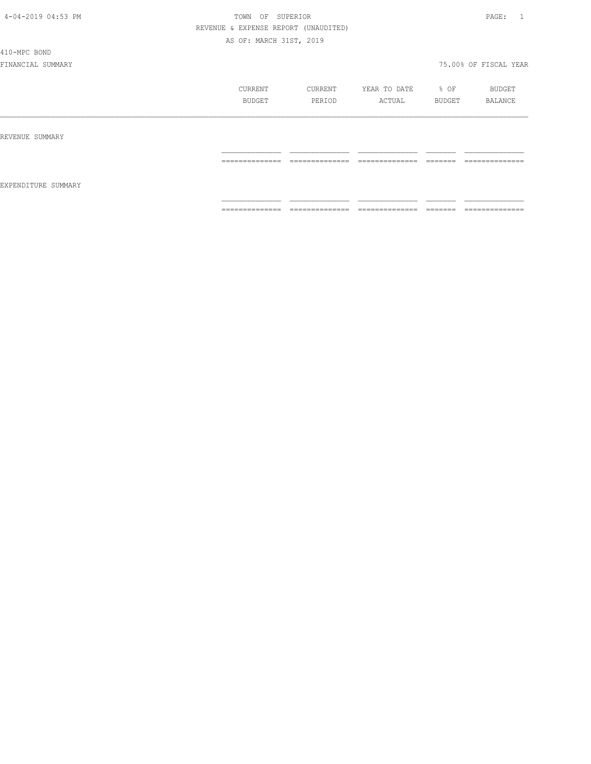410-MPC BOND

|                     | CURRENT<br>BUDGET                 | CURRENT<br>PERIOD                                                                                                                                                                                                                                                                                                                                                                                                                                             | YEAR TO DATE<br>ACTUAL                                                                                                                                                                                                                                                                                                                                                                                                                                                                       | % OF<br>BUDGET       | BUDGET<br>BALANCE                  |
|---------------------|-----------------------------------|---------------------------------------------------------------------------------------------------------------------------------------------------------------------------------------------------------------------------------------------------------------------------------------------------------------------------------------------------------------------------------------------------------------------------------------------------------------|----------------------------------------------------------------------------------------------------------------------------------------------------------------------------------------------------------------------------------------------------------------------------------------------------------------------------------------------------------------------------------------------------------------------------------------------------------------------------------------------|----------------------|------------------------------------|
| REVENUE SUMMARY     |                                   |                                                                                                                                                                                                                                                                                                                                                                                                                                                               |                                                                                                                                                                                                                                                                                                                                                                                                                                                                                              |                      |                                    |
|                     | ==============                    | $-22222222222222$                                                                                                                                                                                                                                                                                                                                                                                                                                             | $\begin{array}{c} \multicolumn{2}{c} {\textbf{1}} & \multicolumn{2}{c} {\textbf{2}} & \multicolumn{2}{c} {\textbf{3}} & \multicolumn{2}{c} {\textbf{4}} \\ \multicolumn{2}{c} {\textbf{2}} & \multicolumn{2}{c} {\textbf{3}} & \multicolumn{2}{c} {\textbf{4}} & \multicolumn{2}{c} {\textbf{5}} & \multicolumn{2}{c} {\textbf{6}} \\ \multicolumn{2}{c} {\textbf{5}} & \multicolumn{2}{c} {\textbf{6}} & \multicolumn{2}{c} {\textbf{7}} & \multicolumn{2}{c} {\textbf{8}} & \multicolumn{$ | --------<br>________ | --------------<br>_______________  |
| EXPENDITURE SUMMARY | ______________<br>--------------- | $\begin{array}{c} \multicolumn{2}{c} {\textbf{2.5}} \multicolumn{2}{c} {\textbf{2.5}} \multicolumn{2}{c} {\textbf{2.5}} \multicolumn{2}{c} {\textbf{2.5}} \multicolumn{2}{c} {\textbf{2.5}} \multicolumn{2}{c} {\textbf{2.5}} \multicolumn{2}{c} {\textbf{2.5}} \multicolumn{2}{c} {\textbf{2.5}} \multicolumn{2}{c} {\textbf{2.5}} \multicolumn{2}{c} {\textbf{2.5}} \multicolumn{2}{c} {\textbf{2.5}} \multicolumn{2}{c} {\textbf{2.5}} \multicolumn{2}{c}$ | ______________<br>---------------                                                                                                                                                                                                                                                                                                                                                                                                                                                            | ________<br>-------  | ______________<br>________________ |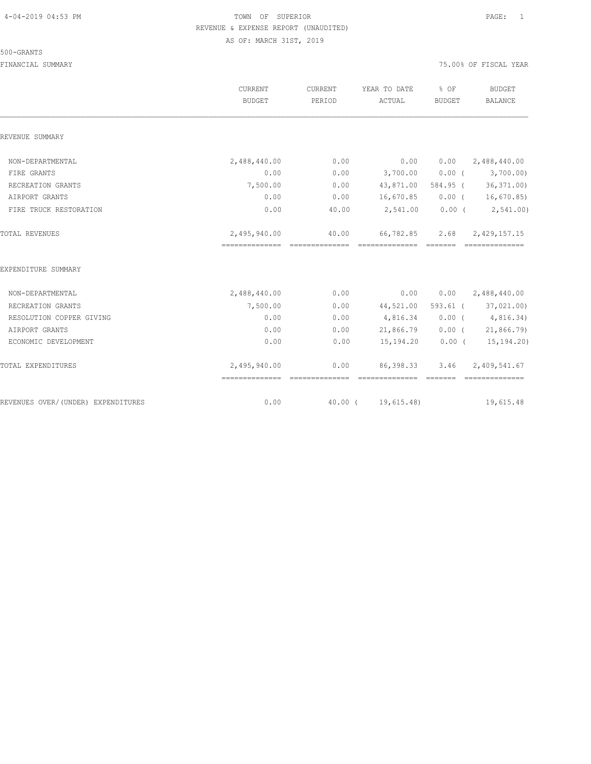#### 500-GRANTS

|                                    | CURRENT<br><b>BUDGET</b>                          | CURRENT<br>PERIOD | YEAR TO DATE<br>ACTUAL              | % OF<br><b>BUDGET</b> | <b>BUDGET</b><br><b>BALANCE</b> |
|------------------------------------|---------------------------------------------------|-------------------|-------------------------------------|-----------------------|---------------------------------|
| REVENUE SUMMARY                    |                                                   |                   |                                     |                       |                                 |
| NON-DEPARTMENTAL                   | 2,488,440.00                                      | 0.00              | 0.00                                | 0.00                  | 2,488,440.00                    |
| FIRE GRANTS                        | 0.00                                              | 0.00              | 3,700.00                            | $0.00$ (              | 3,700.00)                       |
| RECREATION GRANTS                  | 7,500.00                                          | 0.00              |                                     |                       | 43,871.00 584.95 (36,371.00)    |
| AIRPORT GRANTS                     | 0.00                                              | 0.00              | 16,670.85                           |                       | $0.00$ ( $16,670.85$ )          |
| FIRE TRUCK RESTORATION             | 0.00                                              | 40.00             | 2,541.00                            |                       | $0.00$ ( $2,541.00$ )           |
| TOTAL REVENUES                     | 2,495,940.00<br>================================= | 40.00             | 66,782.85<br>--------------- ------ | 2.68                  | 2,429,157.15<br>==============  |
| EXPENDITURE SUMMARY                |                                                   |                   |                                     |                       |                                 |
| NON-DEPARTMENTAL                   | 2,488,440.00                                      | 0.00              | 0.00                                |                       | $0.00 \qquad 2,488,440.00$      |
| RECREATION GRANTS                  | 7,500.00                                          | 0.00              |                                     |                       | 44,521.00 593.61 (37,021.00)    |
| RESOLUTION COPPER GIVING           | 0.00                                              | 0.00              | 4,816.34                            |                       | 0.00(4,816.34)                  |
| AIRPORT GRANTS                     | 0.00                                              | 0.00              | 21,866.79                           |                       | $0.00$ ( $21,866.79$ )          |
| ECONOMIC DEVELOPMENT               | 0.00                                              | 0.00              | 15,194.20                           |                       | $0.00$ ( $15,194.20$ )          |
| TOTAL EXPENDITURES                 | 2,495,940.00                                      | 0.00              | 86,398.33<br>==============         | 3.46                  | 2,409,541.67                    |
| REVENUES OVER/(UNDER) EXPENDITURES | 0.00                                              | 40.00 (           | 19,615.48)                          |                       | 19,615.48                       |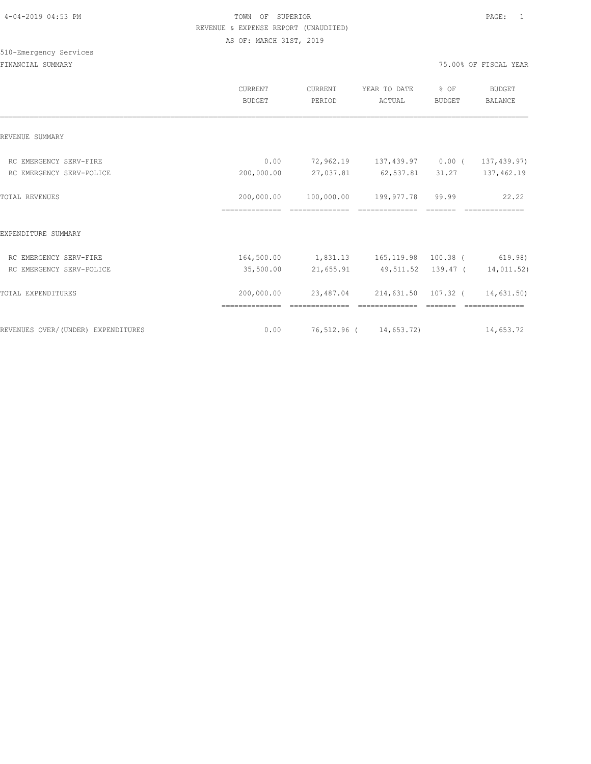# 510-Emergency Services

|                                    | <b>CURRENT</b><br><b>BUDGET</b> | CURRENT<br>PERIOD                                                     | YEAR TO DATE<br>ACTUAL                                                                                                                                                                                                                                                                                                                                                                                                                                                                       | % OF<br><b>BUDGET</b> | BUDGET<br>BALANCE |
|------------------------------------|---------------------------------|-----------------------------------------------------------------------|----------------------------------------------------------------------------------------------------------------------------------------------------------------------------------------------------------------------------------------------------------------------------------------------------------------------------------------------------------------------------------------------------------------------------------------------------------------------------------------------|-----------------------|-------------------|
| REVENUE SUMMARY                    |                                 |                                                                       |                                                                                                                                                                                                                                                                                                                                                                                                                                                                                              |                       |                   |
| RC EMERGENCY SERV-FIRE             | 0.00                            | 72,962.19 137,439.97 0.00 (                                           |                                                                                                                                                                                                                                                                                                                                                                                                                                                                                              |                       | 137,439.97)       |
| RC EMERGENCY SERV-POLICE           | 200,000.00                      |                                                                       | 27,037.81 62,537.81 31.27                                                                                                                                                                                                                                                                                                                                                                                                                                                                    |                       | 137,462.19        |
| <b>TOTAL REVENUES</b>              |                                 | 200,000.00 100,000.00 199,977.78 99.99                                | ==============                                                                                                                                                                                                                                                                                                                                                                                                                                                                               |                       | 22.22             |
| EXPENDITURE SUMMARY                |                                 |                                                                       |                                                                                                                                                                                                                                                                                                                                                                                                                                                                                              |                       |                   |
| RC EMERGENCY SERV-FIRE             |                                 | 164,500.00 1,831.13 165,119.98 100.38 (619.98)                        |                                                                                                                                                                                                                                                                                                                                                                                                                                                                                              |                       |                   |
| RC EMERGENCY SERV-POLICE           | 35,500.00                       |                                                                       | 21,655.91 49,511.52 139.47 ( 14,011.52)                                                                                                                                                                                                                                                                                                                                                                                                                                                      |                       |                   |
| TOTAL EXPENDITURES                 |                                 | 200,000.00 23,487.04 214,631.50 107.32 ( 14,631.50)<br>============== | $\begin{array}{c} \multicolumn{2}{c} {\textbf{1}} & \multicolumn{2}{c} {\textbf{2}} & \multicolumn{2}{c} {\textbf{3}} & \multicolumn{2}{c} {\textbf{4}} \\ \multicolumn{2}{c} {\textbf{5}} & \multicolumn{2}{c} {\textbf{6}} & \multicolumn{2}{c} {\textbf{7}} & \multicolumn{2}{c} {\textbf{8}} & \multicolumn{2}{c} {\textbf{9}} \\ \multicolumn{2}{c} {\textbf{6}} & \multicolumn{2}{c} {\textbf{7}} & \multicolumn{2}{c} {\textbf{8}} & \multicolumn{2}{c} {\textbf{9}} & \multicolumn{$ |                       | ==============    |
| REVENUES OVER/(UNDER) EXPENDITURES | 0.00                            | 76,512.96 ( 14,653.72) 14,653.72                                      |                                                                                                                                                                                                                                                                                                                                                                                                                                                                                              |                       |                   |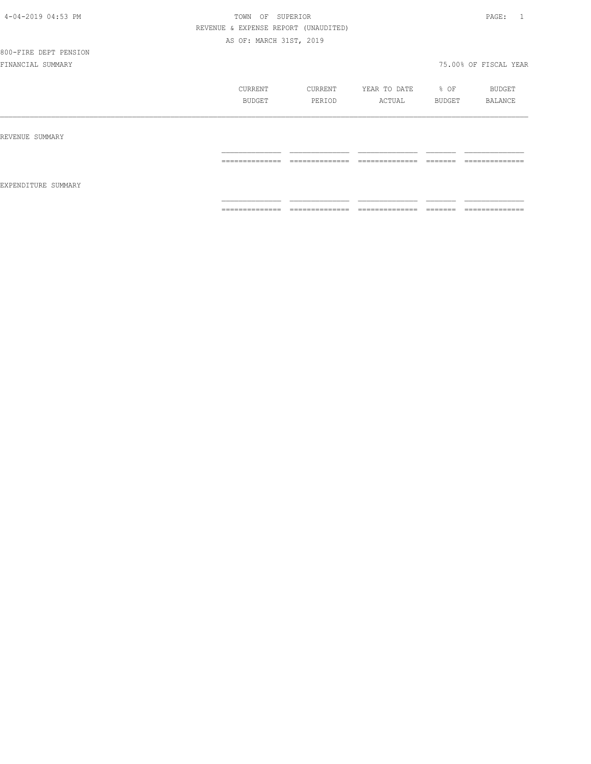# 800-FIRE DEPT PENSION

|                     | CURRENT<br>BUDGET                                                                                                                                                                                                                                                                                                                                                                                                                                                                      | CURRENT<br>PERIOD                                                                                                                                                                                                                                                                                                                                                                                                                                                                      | YEAR TO DATE<br>ACTUAL            | % OF<br>BUDGET      | BUDGET<br>BALANCE                  |
|---------------------|----------------------------------------------------------------------------------------------------------------------------------------------------------------------------------------------------------------------------------------------------------------------------------------------------------------------------------------------------------------------------------------------------------------------------------------------------------------------------------------|----------------------------------------------------------------------------------------------------------------------------------------------------------------------------------------------------------------------------------------------------------------------------------------------------------------------------------------------------------------------------------------------------------------------------------------------------------------------------------------|-----------------------------------|---------------------|------------------------------------|
| REVENUE SUMMARY     |                                                                                                                                                                                                                                                                                                                                                                                                                                                                                        |                                                                                                                                                                                                                                                                                                                                                                                                                                                                                        |                                   |                     |                                    |
| EXPENDITURE SUMMARY | $\begin{array}{cccccccccc} \multicolumn{2}{c}{} & \multicolumn{2}{c}{} & \multicolumn{2}{c}{} & \multicolumn{2}{c}{} & \multicolumn{2}{c}{} & \multicolumn{2}{c}{} & \multicolumn{2}{c}{} & \multicolumn{2}{c}{} & \multicolumn{2}{c}{} & \multicolumn{2}{c}{} & \multicolumn{2}{c}{} & \multicolumn{2}{c}{} & \multicolumn{2}{c}{} & \multicolumn{2}{c}{} & \multicolumn{2}{c}{} & \multicolumn{2}{c}{} & \multicolumn{2}{c}{} & \multicolumn{2}{c}{} & \multicolumn{2}{c}{} & \mult$ | $\begin{array}{cccccccccc} \multicolumn{2}{c}{} & \multicolumn{2}{c}{} & \multicolumn{2}{c}{} & \multicolumn{2}{c}{} & \multicolumn{2}{c}{} & \multicolumn{2}{c}{} & \multicolumn{2}{c}{} & \multicolumn{2}{c}{} & \multicolumn{2}{c}{} & \multicolumn{2}{c}{} & \multicolumn{2}{c}{} & \multicolumn{2}{c}{} & \multicolumn{2}{c}{} & \multicolumn{2}{c}{} & \multicolumn{2}{c}{} & \multicolumn{2}{c}{} & \multicolumn{2}{c}{} & \multicolumn{2}{c}{} & \multicolumn{2}{c}{} & \mult$ | ______________<br>--------------- | --------<br>------- | ______________<br>---------------- |
|                     | ==============                                                                                                                                                                                                                                                                                                                                                                                                                                                                         | ==============                                                                                                                                                                                                                                                                                                                                                                                                                                                                         | ==============                    | <b>EEEEEE</b>       | ==============                     |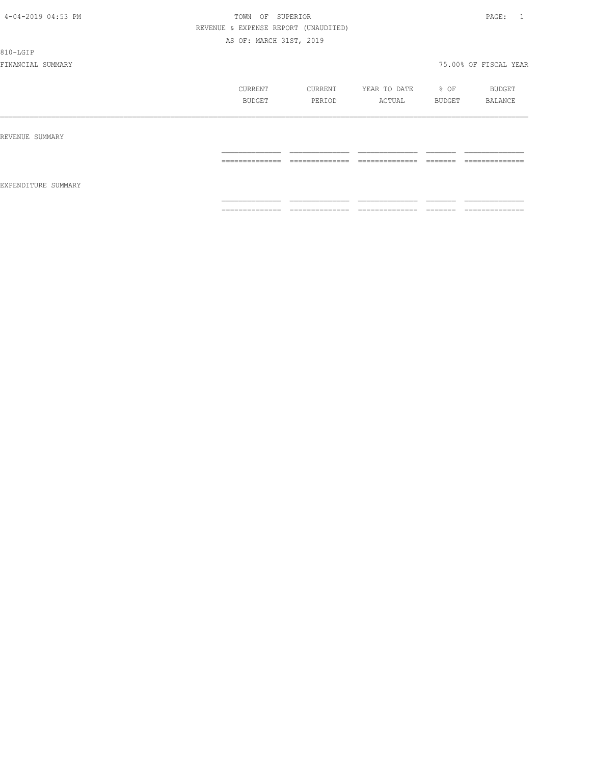810-LGIP

|                     | CURRENT<br>BUDGET                                                                                                                                                                                                                                                                                                                                                                                                                                                                      | CURRENT<br>PERIOD                                                                                                                                                                                                                                                                                                                                                                                                                                                                            | YEAR TO DATE<br>ACTUAL                                                                                                                                                                                                                                                                                                                                                                                                                                                                       | % OF<br>BUDGET      | BUDGET<br>BALANCE                 |
|---------------------|----------------------------------------------------------------------------------------------------------------------------------------------------------------------------------------------------------------------------------------------------------------------------------------------------------------------------------------------------------------------------------------------------------------------------------------------------------------------------------------|----------------------------------------------------------------------------------------------------------------------------------------------------------------------------------------------------------------------------------------------------------------------------------------------------------------------------------------------------------------------------------------------------------------------------------------------------------------------------------------------|----------------------------------------------------------------------------------------------------------------------------------------------------------------------------------------------------------------------------------------------------------------------------------------------------------------------------------------------------------------------------------------------------------------------------------------------------------------------------------------------|---------------------|-----------------------------------|
| REVENUE SUMMARY     |                                                                                                                                                                                                                                                                                                                                                                                                                                                                                        |                                                                                                                                                                                                                                                                                                                                                                                                                                                                                              |                                                                                                                                                                                                                                                                                                                                                                                                                                                                                              |                     |                                   |
| EXPENDITURE SUMMARY | $\begin{array}{cccccccccc} \multicolumn{2}{c}{} & \multicolumn{2}{c}{} & \multicolumn{2}{c}{} & \multicolumn{2}{c}{} & \multicolumn{2}{c}{} & \multicolumn{2}{c}{} & \multicolumn{2}{c}{} & \multicolumn{2}{c}{} & \multicolumn{2}{c}{} & \multicolumn{2}{c}{} & \multicolumn{2}{c}{} & \multicolumn{2}{c}{} & \multicolumn{2}{c}{} & \multicolumn{2}{c}{} & \multicolumn{2}{c}{} & \multicolumn{2}{c}{} & \multicolumn{2}{c}{} & \multicolumn{2}{c}{} & \multicolumn{2}{c}{} & \mult$ | 22222222222222                                                                                                                                                                                                                                                                                                                                                                                                                                                                               | $\begin{array}{c} \multicolumn{2}{c} {\textbf{1}} & \multicolumn{2}{c} {\textbf{2}} & \multicolumn{2}{c} {\textbf{3}} & \multicolumn{2}{c} {\textbf{4}} \\ \multicolumn{2}{c} {\textbf{2}} & \multicolumn{2}{c} {\textbf{3}} & \multicolumn{2}{c} {\textbf{4}} & \multicolumn{2}{c} {\textbf{5}} & \multicolumn{2}{c} {\textbf{6}} \\ \multicolumn{2}{c} {\textbf{5}} & \multicolumn{2}{c} {\textbf{6}} & \multicolumn{2}{c} {\textbf{7}} & \multicolumn{2}{c} {\textbf{8}} & \multicolumn{$ | -------<br>________ | --------------                    |
|                     | ______________<br>_______________                                                                                                                                                                                                                                                                                                                                                                                                                                                      | $\begin{array}{c} \multicolumn{2}{c} {\textbf{1}} & \multicolumn{2}{c} {\textbf{2}} & \multicolumn{2}{c} {\textbf{3}} & \multicolumn{2}{c} {\textbf{4}} \\ \multicolumn{2}{c} {\textbf{2}} & \multicolumn{2}{c} {\textbf{3}} & \multicolumn{2}{c} {\textbf{4}} & \multicolumn{2}{c} {\textbf{5}} & \multicolumn{2}{c} {\textbf{6}} \\ \multicolumn{2}{c} {\textbf{4}} & \multicolumn{2}{c} {\textbf{5}} & \multicolumn{2}{c} {\textbf{6}} & \multicolumn{2}{c} {\textbf{6}} & \multicolumn{$ | _______________<br>---------------                                                                                                                                                                                                                                                                                                                                                                                                                                                           | ________<br>------- | ______________<br>--------------- |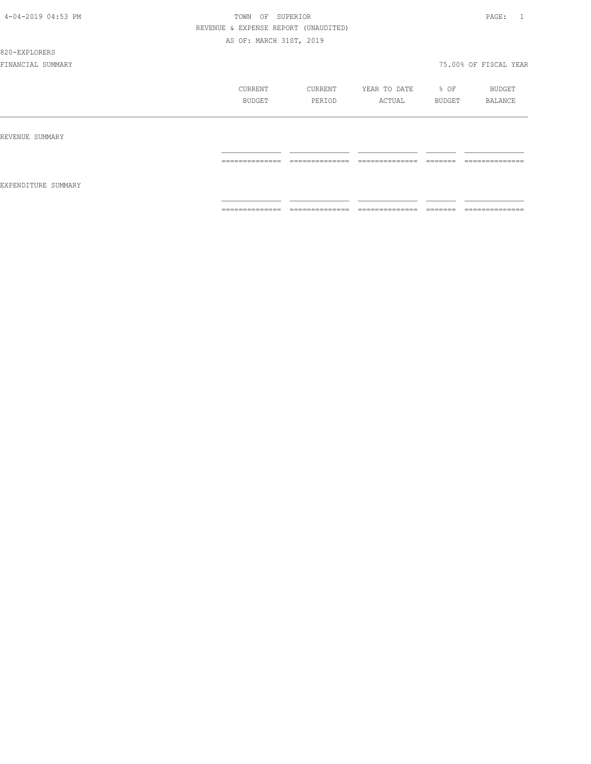#### 820-EXPLORERS

|                     | CURRENT<br>BUDGET                                                                                                                                                                                                                                                                                                                                                                                                                                                                            | CURRENT<br>PERIOD                 | YEAR TO DATE<br>ACTUAL                                                                                                                                                                                                                                                                                                                                                                                                                                                                       | % OF<br>BUDGET                                                                                                                                                                                                                                                                                                                                                                                                                                                                           | BUDGET<br>BALANCE                |
|---------------------|----------------------------------------------------------------------------------------------------------------------------------------------------------------------------------------------------------------------------------------------------------------------------------------------------------------------------------------------------------------------------------------------------------------------------------------------------------------------------------------------|-----------------------------------|----------------------------------------------------------------------------------------------------------------------------------------------------------------------------------------------------------------------------------------------------------------------------------------------------------------------------------------------------------------------------------------------------------------------------------------------------------------------------------------------|------------------------------------------------------------------------------------------------------------------------------------------------------------------------------------------------------------------------------------------------------------------------------------------------------------------------------------------------------------------------------------------------------------------------------------------------------------------------------------------|----------------------------------|
| REVENUE SUMMARY     |                                                                                                                                                                                                                                                                                                                                                                                                                                                                                              |                                   |                                                                                                                                                                                                                                                                                                                                                                                                                                                                                              |                                                                                                                                                                                                                                                                                                                                                                                                                                                                                          |                                  |
|                     | --------------<br>-------------                                                                                                                                                                                                                                                                                                                                                                                                                                                              | --------------<br>_______________ | --------------<br>______________                                                                                                                                                                                                                                                                                                                                                                                                                                                             | --------<br>________                                                                                                                                                                                                                                                                                                                                                                                                                                                                     | --------------<br>______________ |
| EXPENDITURE SUMMARY |                                                                                                                                                                                                                                                                                                                                                                                                                                                                                              |                                   |                                                                                                                                                                                                                                                                                                                                                                                                                                                                                              |                                                                                                                                                                                                                                                                                                                                                                                                                                                                                          |                                  |
|                     | $\begin{array}{c} \multicolumn{2}{c} {\textbf{1}} & \multicolumn{2}{c} {\textbf{2}} & \multicolumn{2}{c} {\textbf{3}} & \multicolumn{2}{c} {\textbf{4}} \\ \multicolumn{2}{c} {\textbf{2}} & \multicolumn{2}{c} {\textbf{3}} & \multicolumn{2}{c} {\textbf{4}} & \multicolumn{2}{c} {\textbf{5}} & \multicolumn{2}{c} {\textbf{6}} \\ \multicolumn{2}{c} {\textbf{4}} & \multicolumn{2}{c} {\textbf{5}} & \multicolumn{2}{c} {\textbf{6}} & \multicolumn{2}{c} {\textbf{6}} & \multicolumn{$ | 22222222222222                    | $\begin{array}{c} \multicolumn{2}{c} {\textbf{1}} & \multicolumn{2}{c} {\textbf{2}} & \multicolumn{2}{c} {\textbf{3}} & \multicolumn{2}{c} {\textbf{4}} \\ \multicolumn{2}{c} {\textbf{2}} & \multicolumn{2}{c} {\textbf{3}} & \multicolumn{2}{c} {\textbf{4}} & \multicolumn{2}{c} {\textbf{5}} & \multicolumn{2}{c} {\textbf{6}} \\ \multicolumn{2}{c} {\textbf{5}} & \multicolumn{2}{c} {\textbf{6}} & \multicolumn{2}{c} {\textbf{7}} & \multicolumn{2}{c} {\textbf{8}} & \multicolumn{$ | $\begin{tabular}{ll} \multicolumn{3}{l}{} & \multicolumn{3}{l}{} & \multicolumn{3}{l}{} \\ \multicolumn{3}{l}{} & \multicolumn{3}{l}{} & \multicolumn{3}{l}{} \\ \multicolumn{3}{l}{} & \multicolumn{3}{l}{} & \multicolumn{3}{l}{} \\ \multicolumn{3}{l}{} & \multicolumn{3}{l}{} & \multicolumn{3}{l}{} \\ \multicolumn{3}{l}{} & \multicolumn{3}{l}{} & \multicolumn{3}{l}{} \\ \multicolumn{3}{l}{} & \multicolumn{3}{l}{} & \multicolumn{3}{l}{} \\ \multicolumn{3}{l}{} & \multic$ | --------------                   |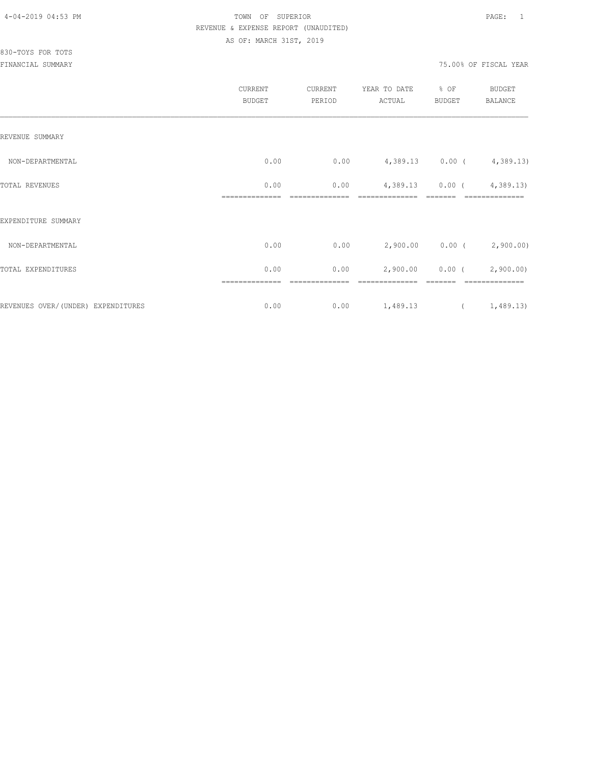|                                    | CURRENT<br><b>BUDGET</b> | CURRENT<br>PERIOD | YEAR TO DATE<br>ACTUAL | % OF<br>BUDGET | BUDGET<br>BALANCE           |
|------------------------------------|--------------------------|-------------------|------------------------|----------------|-----------------------------|
| REVENUE SUMMARY                    |                          |                   |                        |                |                             |
| NON-DEPARTMENTAL                   | 0.00                     | 0.00              |                        |                | 4,389.13 0.00 ( 4,389.13)   |
| TOTAL REVENUES                     | 0.00                     | 0.00              | 4,389.13               |                | $0.00$ ( $4,389.13$ )       |
| EXPENDITURE SUMMARY                |                          |                   |                        |                |                             |
| NON-DEPARTMENTAL                   | 0.00                     | 0.00              |                        |                | $2,900.00$ 0.00 ( 2,900.00) |
| TOTAL EXPENDITURES                 | 0.00                     | 0.00              | 2,900.00               |                | $0.00$ ( $2,900.00$ )       |
| REVENUES OVER/(UNDER) EXPENDITURES | 0.00                     | 0.00              | 1,489.13               |                | (1, 489.13)                 |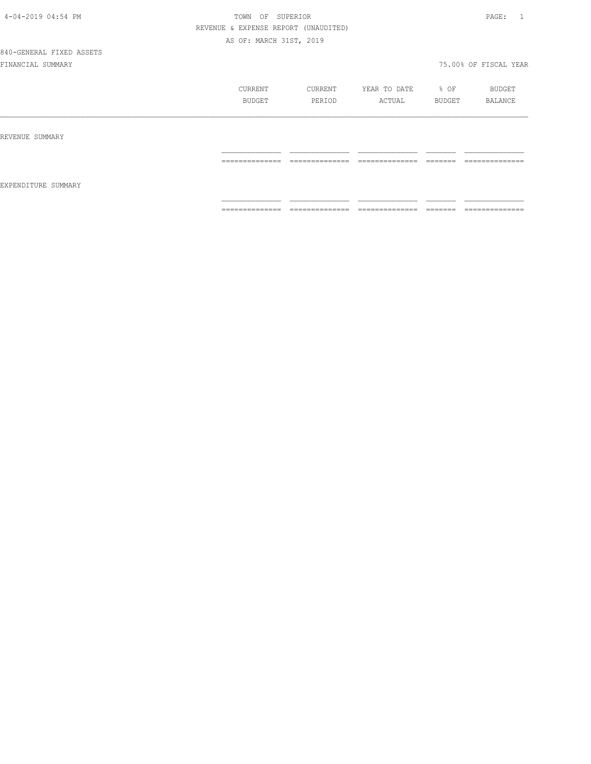840-GENERAL FIXED ASSETS

|                     | CURRENT<br>BUDGET | CURRENT<br>PERIOD | YEAR TO DATE<br>ACTUAL | $8$ OF<br>BUDGET | BUDGET<br>BALANCE |
|---------------------|-------------------|-------------------|------------------------|------------------|-------------------|
| REVENUE SUMMARY     | --------------    | ______________    | _____________          | --------         | _____________     |
| EXPENDITURE SUMMARY | ----------        |                   |                        |                  | ----------        |
|                     | ==============    | ==============    | ==============         | =======          | ==============    |